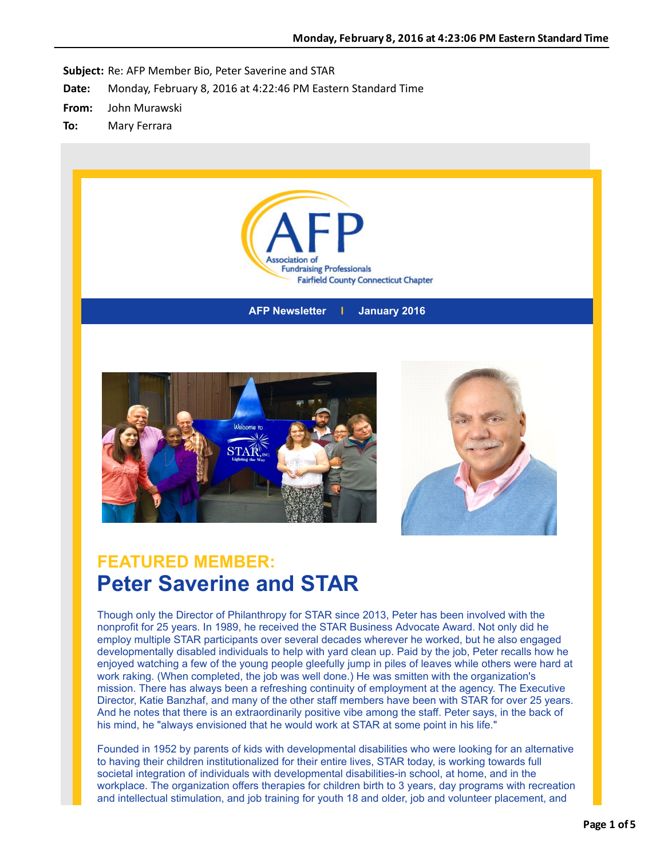

**AFP Newsletter I January 2016**





### **FEATURED MEMBER: Peter Saverine and STAR**

Though only the Director of Philanthropy for STAR since 2013, Peter has been involved with the nonprofit for 25 years. In 1989, he received the STAR Business Advocate Award. Not only did he employ multiple STAR participants over several decades wherever he worked, but he also engaged developmentally disabled individuals to help with yard clean up. Paid by the job, Peter recalls how he enjoyed watching a few of the young people gleefully jump in piles of leaves while others were hard at work raking. (When completed, the job was well done.) He was smitten with the organization's mission. There has always been a refreshing continuity of employment at the agency. The Executive Director, Katie Banzhaf, and many of the other staff members have been with STAR for over 25 years. And he notes that there is an extraordinarily positive vibe among the staff. Peter says, in the back of his mind, he "always envisioned that he would work at STAR at some point in his life."

Founded in 1952 by parents of kids with developmental disabilities who were looking for an alternative to having their children institutionalized for their entire lives, STAR today, is working towards full societal integration of individuals with developmental disabilities-in school, at home, and in the workplace. The organization offers therapies for children birth to 3 years, day programs with recreation and intellectual stimulation, and job training for youth 18 and older, job and volunteer placement, and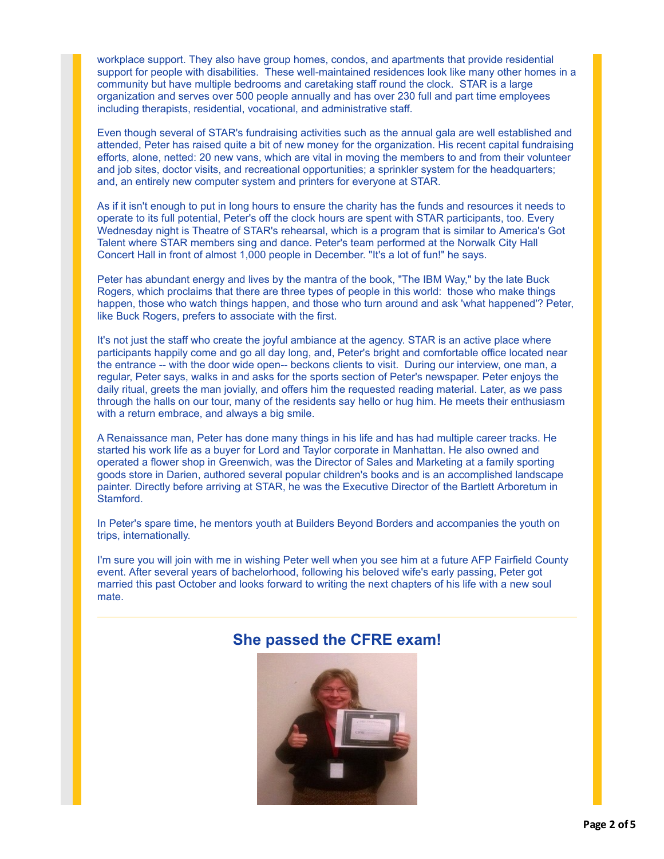workplace support. They also have group homes, condos, and apartments that provide residential support for people with disabilities. These well-maintained residences look like many other homes in a community but have multiple bedrooms and caretaking staff round the clock. STAR is a large organization and serves over 500 people annually and has over 230 full and part time employees including therapists, residential, vocational, and administrative staff.

Even though several of STAR's fundraising activities such as the annual gala are well established and attended, Peter has raised quite a bit of new money for the organization. His recent capital fundraising efforts, alone, netted: 20 new vans, which are vital in moving the members to and from their volunteer and job sites, doctor visits, and recreational opportunities; a sprinkler system for the headquarters; and, an entirely new computer system and printers for everyone at STAR.

As if it isn't enough to put in long hours to ensure the charity has the funds and resources it needs to operate to its full potential, Peter's off the clock hours are spent with STAR participants, too. Every Wednesday night is Theatre of STAR's rehearsal, which is a program that is similar to America's Got Talent where STAR members sing and dance. Peter's team performed at the Norwalk City Hall Concert Hall in front of almost 1,000 people in December. "It's a lot of fun!" he says.

Peter has abundant energy and lives by the mantra of the book, "The IBM Way," by the late Buck Rogers, which proclaims that there are three types of people in this world: those who make things happen, those who watch things happen, and those who turn around and ask 'what happened'? Peter, like Buck Rogers, prefers to associate with the first.

It's not just the staff who create the joyful ambiance at the agency. STAR is an active place where participants happily come and go all day long, and, Peter's bright and comfortable office located near the entrance -- with the door wide open-- beckons clients to visit. During our interview, one man, a regular, Peter says, walks in and asks for the sports section of Peter's newspaper. Peter enjoys the daily ritual, greets the man jovially, and offers him the requested reading material. Later, as we pass through the halls on our tour, many of the residents say hello or hug him. He meets their enthusiasm with a return embrace, and always a big smile.

A Renaissance man, Peter has done many things in his life and has had multiple career tracks. He started his work life as a buyer for Lord and Taylor corporate in Manhattan. He also owned and operated a flower shop in Greenwich, was the Director of Sales and Marketing at a family sporting goods store in Darien, authored several popular children's books and is an accomplished landscape painter. Directly before arriving at STAR, he was the Executive Director of the Bartlett Arboretum in Stamford.

In Peter's spare time, he mentors youth at Builders Beyond Borders and accompanies the youth on trips, internationally.

I'm sure you will join with me in wishing Peter well when you see him at a future AFP Fairfield County event. After several years of bachelorhood, following his beloved wife's early passing, Peter got married this past October and looks forward to writing the next chapters of his life with a new soul mate.

#### **She passed the CFRE exam!**

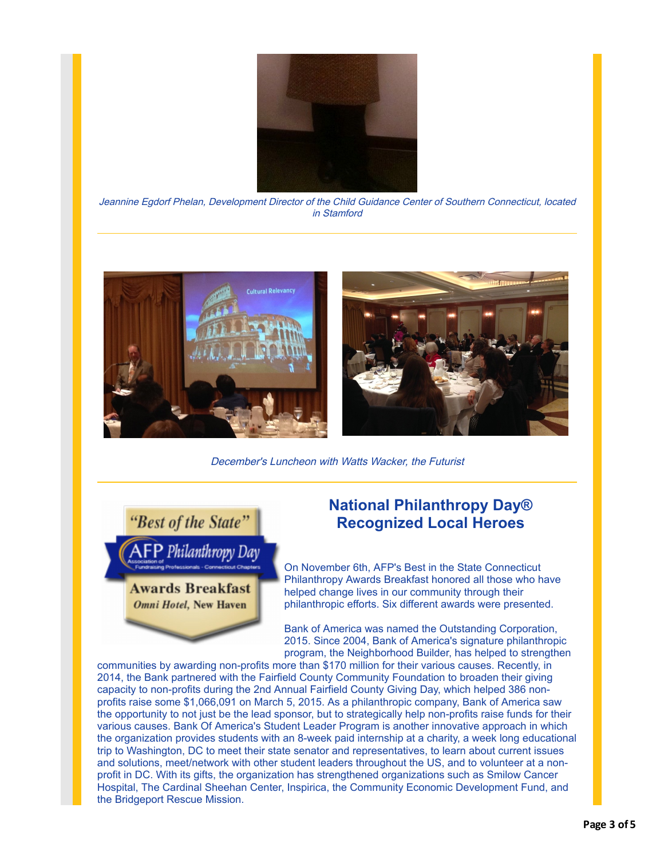

Jeannine Egdorf Phelan, Development Director of the Child Guidance Center of Southern Connecticut, located in Stamford



December's Luncheon with Watts Wacker, the Futurist



### **National Philanthropy Day® Recognized Local Heroes**

On November 6th, AFP's Best in the State Connecticut Philanthropy Awards Breakfast honored all those who have helped change lives in our community through their philanthropic efforts. Six different awards were presented.

Bank of America was named the Outstanding Corporation, 2015. Since 2004, Bank of America's signature philanthropic program, the Neighborhood Builder, has helped to strengthen

communities by awarding non-profits more than \$170 million for their various causes. Recently, in 2014, the Bank partnered with the Fairfield County Community Foundation to broaden their giving capacity to non-profits during the 2nd Annual Fairfield County Giving Day, which helped 386 nonprofits raise some \$1,066,091 on March 5, 2015. As a philanthropic company, Bank of America saw the opportunity to not just be the lead sponsor, but to strategically help non-profits raise funds for their various causes. Bank Of America's Student Leader Program is another innovative approach in which the organization provides students with an 8-week paid internship at a charity, a week long educational trip to Washington, DC to meet their state senator and representatives, to learn about current issues and solutions, meet/network with other student leaders throughout the US, and to volunteer at a nonprofit in DC. With its gifts, the organization has strengthened organizations such as Smilow Cancer Hospital, The Cardinal Sheehan Center, Inspirica, the Community Economic Development Fund, and the Bridgeport Rescue Mission.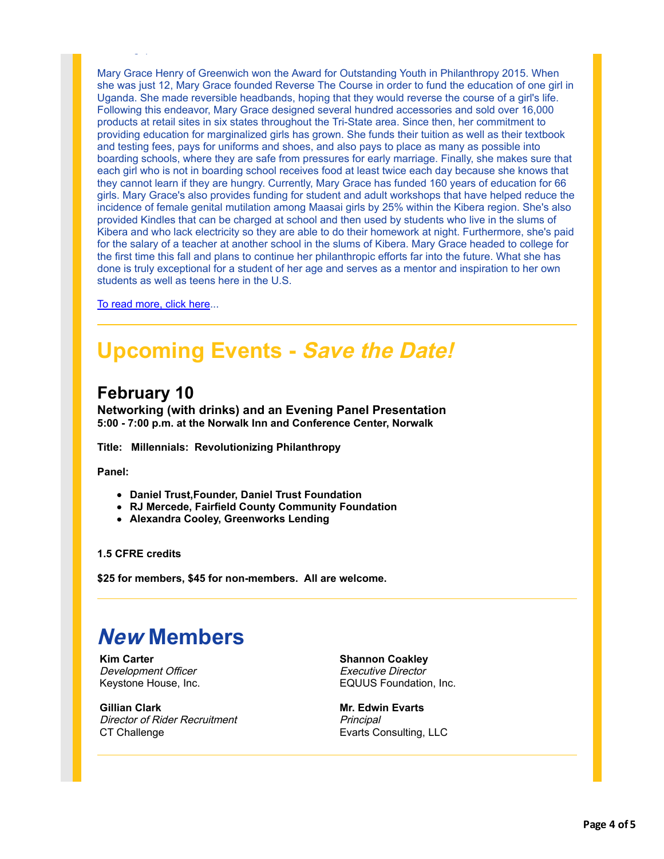Mary Grace Henry of Greenwich won the Award for Outstanding Youth in Philanthropy 2015. When she was just 12, Mary Grace founded Reverse The Course in order to fund the education of one girl in Uganda. She made reversible headbands, hoping that they would reverse the course of a girl's life. Following this endeavor, Mary Grace designed several hundred accessories and sold over 16,000 products at retail sites in six states throughout the Tri-State area. Since then, her commitment to providing education for marginalized girls has grown. She funds their tuition as well as their textbook and testing fees, pays for uniforms and shoes, and also pays to place as many as possible into boarding schools, where they are safe from pressures for early marriage. Finally, she makes sure that each girl who is not in boarding school receives food at least twice each day because she knows that they cannot learn if they are hungry. Currently, Mary Grace has funded 160 years of education for 66 girls. Mary Grace's also provides funding for student and adult workshops that have helped reduce the incidence of female genital mutilation among Maasai girls by 25% within the Kibera region. She's also provided Kindles that can be charged at school and then used by students who live in the slums of Kibera and who lack electricity so they are able to do their homework at night. Furthermore, she's paid for the salary of a teacher at another school in the slums of Kibera. Mary Grace headed to college for the first time this fall and plans to continue her philanthropic efforts far into the future. What she has done is truly exceptional for a student of her age and serves as a mentor and inspiration to her own students as well as teens here in the U.S.

[To read more, click here.](http://r20.rs6.net/tn.jsp?f=001n5UDi4gFurhxqU5u0xmmY3F0cA7vlOZaXN7SEVrwvzaMNEArccx0hn-d-grBKzCBt35Fx7i_AOQ3hYErwQI7DMBlWlE1bbED1rlrkTArdyYef1VqTHfPeMvj8i3SBX0Z1izBQzwkq0qxJfN9eR7V7F79g7ZWYQBexFoRu2YOl6J5GVjM5Zms2yNHTFQ42IpLRq54uyOhyYaLn0Nzz_1um36hgDjdrEg_9DFYX6yLOqtmAakPIdM7PZtRodR8_VE5EnO_n4he3-4t8CpAqhjWdg==&c=_DGWYNQhhQqD0sE3KET39WiOyaHtPQeV5jKfkNKFH6HyN5goqe3OPw==&ch=OleultRee2tBpI7F2i2LBEhshutlfrM5uTB-xTQiC1Dtzf1ItduPDQ==)..

the Bridgeport Rescue Mission.

# **Upcoming Events - Save the Date!**

### **February 10**

**Networking (with drinks) and an Evening Panel Presentation 5:00 - 7:00 p.m. at the Norwalk Inn and Conference Center, Norwalk**

**Title: Millennials: Revolutionizing Philanthropy**

**Panel:**

- **Daniel Trust,Founder, Daniel Trust Foundation**
- **RJ Mercede, Fairfield County Community Foundation**
- **Alexandra Cooley, Greenworks Lending**

**1.5 CFRE credits**

**\$25 for members, \$45 for non-members. All are welcome.**

## **New Members**

**Kim Carter** Development Officer Keystone House, Inc.

**Gillian Clark** Director of Rider Recruitment CT Challenge

**Shannon Coakley** Executive Director EQUUS Foundation, Inc.

**Mr. Edwin Evarts Principal** Evarts Consulting, LLC